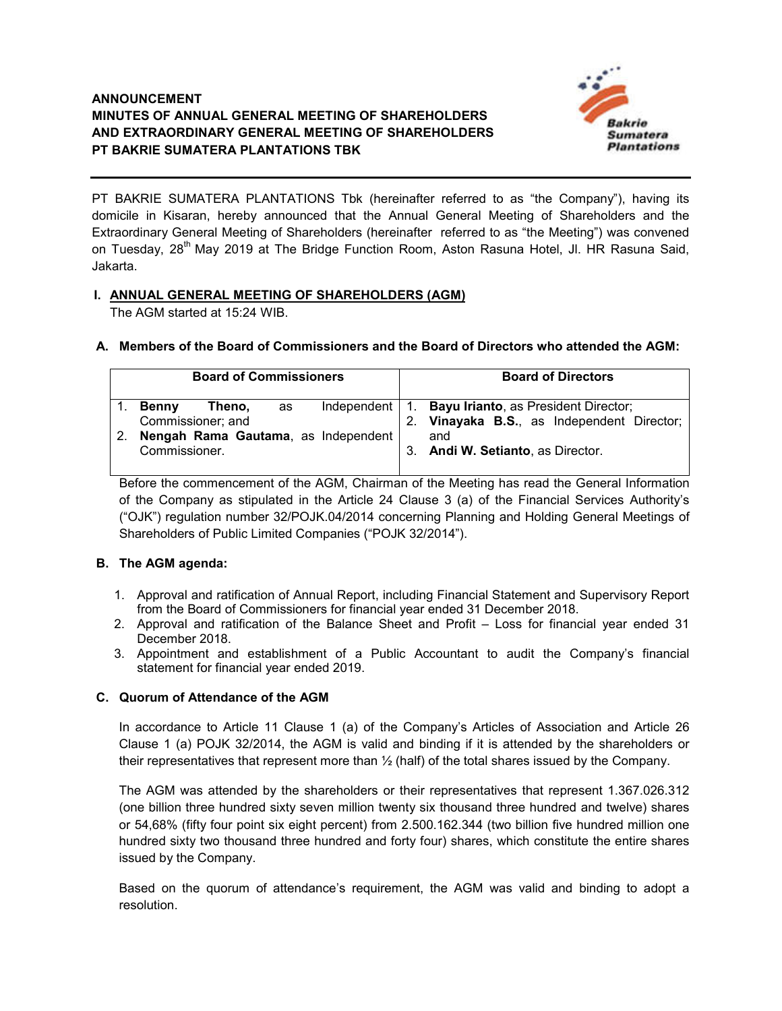

PT BAKRIE SUMATERA PLANTATIONS Tbk (hereinafter referred to as "the Company"), having its domicile in Kisaran, hereby announced that the Annual General Meeting of Shareholders and the Extraordinary General Meeting of Shareholders (hereinafter referred to as "the Meeting") was convened on Tuesday, 28<sup>th</sup> May 2019 at The Bridge Function Room, Aston Rasuna Hotel, Jl. HR Rasuna Said, Jakarta.

# **I. ANNUAL GENERAL MEETING OF SHAREHOLDERS (AGM)**

The AGM started at 15:24 WIB.

|  |  | A. Members of the Board of Commissioners and the Board of Directors who attended the AGM: |  |  |  |
|--|--|-------------------------------------------------------------------------------------------|--|--|--|
|--|--|-------------------------------------------------------------------------------------------|--|--|--|

| <b>Board of Commissioners</b>                                                                            | <b>Board of Directors</b>                                                                                                                          |  |  |
|----------------------------------------------------------------------------------------------------------|----------------------------------------------------------------------------------------------------------------------------------------------------|--|--|
| Theno.<br>Benny<br>as<br>Commissioner; and<br>Nengah Rama Gautama, as Independent<br>2.<br>Commissioner. | Independent   1. Bayu Irianto, as President Director;<br>Vinayaka B.S., as Independent Director;<br>2.<br>and<br>3. Andi W. Setianto, as Director. |  |  |

Before the commencement of the AGM, Chairman of the Meeting has read the General Information of the Company as stipulated in the Article 24 Clause 3 (a) of the Financial Services Authority's ("OJK") regulation number 32/POJK.04/2014 concerning Planning and Holding General Meetings of Shareholders of Public Limited Companies ("POJK 32/2014").

### **B. The AGM agenda:**

- 1. Approval and ratification of Annual Report, including Financial Statement and Supervisory Report from the Board of Commissioners for financial year ended 31 December 2018.
- 2. Approval and ratification of the Balance Sheet and Profit Loss for financial year ended 31 December 2018.
- 3. Appointment and establishment of a Public Accountant to audit the Company's financial statement for financial year ended 2019.

### **C. Quorum of Attendance of the AGM**

In accordance to Article 11 Clause 1 (a) of the Company's Articles of Association and Article 26 Clause 1 (a) POJK 32/2014, the AGM is valid and binding if it is attended by the shareholders or their representatives that represent more than ½ (half) of the total shares issued by the Company.

The AGM was attended by the shareholders or their representatives that represent 1.367.026.312 (one billion three hundred sixty seven million twenty six thousand three hundred and twelve) shares or 54,68% (fifty four point six eight percent) from 2.500.162.344 (two billion five hundred million one hundred sixty two thousand three hundred and forty four) shares, which constitute the entire shares issued by the Company.

Based on the quorum of attendance's requirement, the AGM was valid and binding to adopt a resolution.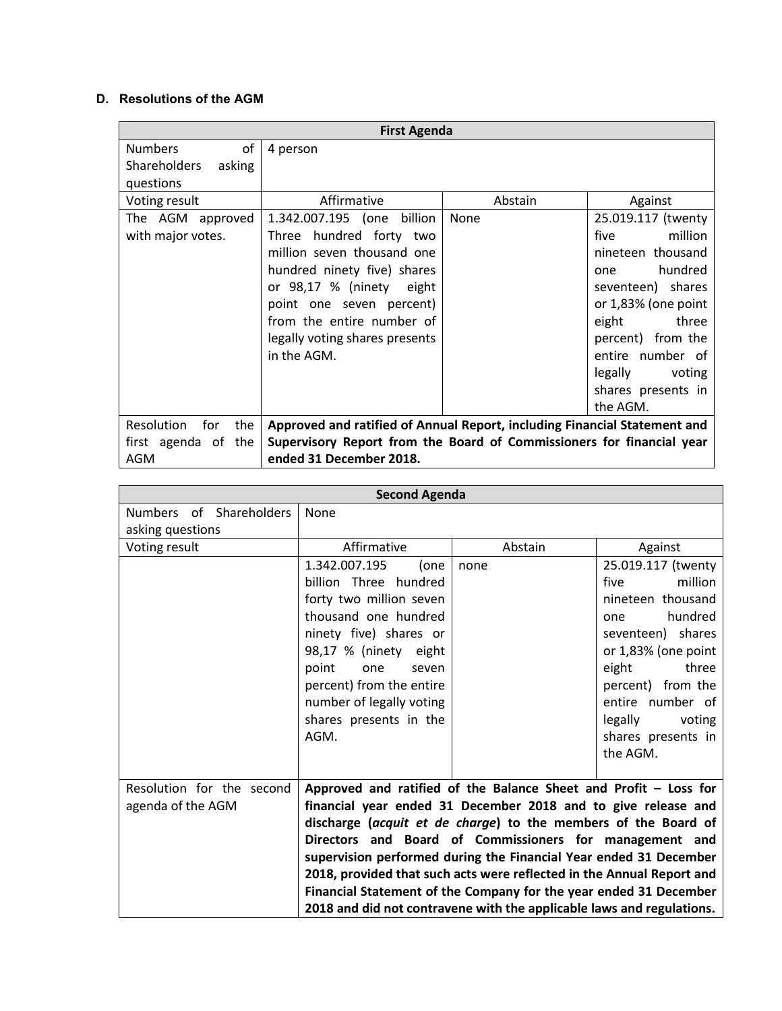# **D. Resolutions of the AGM**

| <b>First Agenda</b>                                                                                   |                                                                       |         |                     |
|-------------------------------------------------------------------------------------------------------|-----------------------------------------------------------------------|---------|---------------------|
| of<br><b>Numbers</b>                                                                                  | 4 person                                                              |         |                     |
| <b>Shareholders</b><br>asking                                                                         |                                                                       |         |                     |
| questions                                                                                             |                                                                       |         |                     |
| Voting result                                                                                         | Affirmative                                                           | Abstain | Against             |
| The AGM approved                                                                                      | 1.342.007.195 (one billion                                            | None    | 25.019.117 (twenty  |
| with major votes.                                                                                     | Three hundred forty two                                               |         | million<br>five     |
|                                                                                                       | million seven thousand one                                            |         | nineteen thousand   |
|                                                                                                       | hundred ninety five) shares                                           |         | hundred<br>one      |
|                                                                                                       | or 98,17 % (ninety eight                                              |         | seventeen) shares   |
|                                                                                                       | point one seven percent)                                              |         | or 1,83% (one point |
|                                                                                                       | from the entire number of                                             |         | three<br>eight      |
|                                                                                                       | legally voting shares presents                                        |         | percent) from the   |
|                                                                                                       | in the AGM.                                                           |         | entire number of    |
|                                                                                                       |                                                                       |         | legally<br>voting   |
|                                                                                                       |                                                                       |         | shares presents in  |
|                                                                                                       |                                                                       |         | the AGM.            |
| Resolution<br>for<br>Approved and ratified of Annual Report, including Financial Statement and<br>the |                                                                       |         |                     |
| first agenda of the                                                                                   | Supervisory Report from the Board of Commissioners for financial year |         |                     |
| AGM                                                                                                   | ended 31 December 2018.                                               |         |                     |

| <b>Second Agenda</b>      |                                                                                                                                            |         |                     |
|---------------------------|--------------------------------------------------------------------------------------------------------------------------------------------|---------|---------------------|
| Numbers of Shareholders   | None                                                                                                                                       |         |                     |
| asking questions          |                                                                                                                                            |         |                     |
| Voting result             | Affirmative                                                                                                                                | Abstain | Against             |
|                           | 1.342.007.195<br>(one                                                                                                                      | none    | 25.019.117 (twenty  |
|                           | billion Three hundred                                                                                                                      |         | million<br>five     |
|                           | forty two million seven                                                                                                                    |         | nineteen thousand   |
|                           | thousand one hundred                                                                                                                       |         | hundred<br>one      |
|                           | ninety five) shares or                                                                                                                     |         | seventeen) shares   |
|                           | 98,17 % (ninety eight                                                                                                                      |         | or 1,83% (one point |
|                           | point<br>one<br>seven                                                                                                                      |         | eight<br>three      |
|                           | percent) from the entire                                                                                                                   |         | percent) from the   |
|                           | number of legally voting                                                                                                                   |         | entire number of    |
|                           | shares presents in the                                                                                                                     |         | legally<br>voting   |
|                           | AGM.                                                                                                                                       |         | shares presents in  |
|                           |                                                                                                                                            |         | the AGM.            |
|                           |                                                                                                                                            |         |                     |
| Resolution for the second | Approved and ratified of the Balance Sheet and Profit - Loss for                                                                           |         |                     |
| agenda of the AGM         | financial year ended 31 December 2018 and to give release and                                                                              |         |                     |
|                           | discharge (acquit et de charge) to the members of the Board of                                                                             |         |                     |
|                           | Directors and Board of Commissioners for management and                                                                                    |         |                     |
|                           | supervision performed during the Financial Year ended 31 December<br>2018, provided that such acts were reflected in the Annual Report and |         |                     |
|                           | Financial Statement of the Company for the year ended 31 December                                                                          |         |                     |
|                           |                                                                                                                                            |         |                     |
|                           | 2018 and did not contravene with the applicable laws and regulations.                                                                      |         |                     |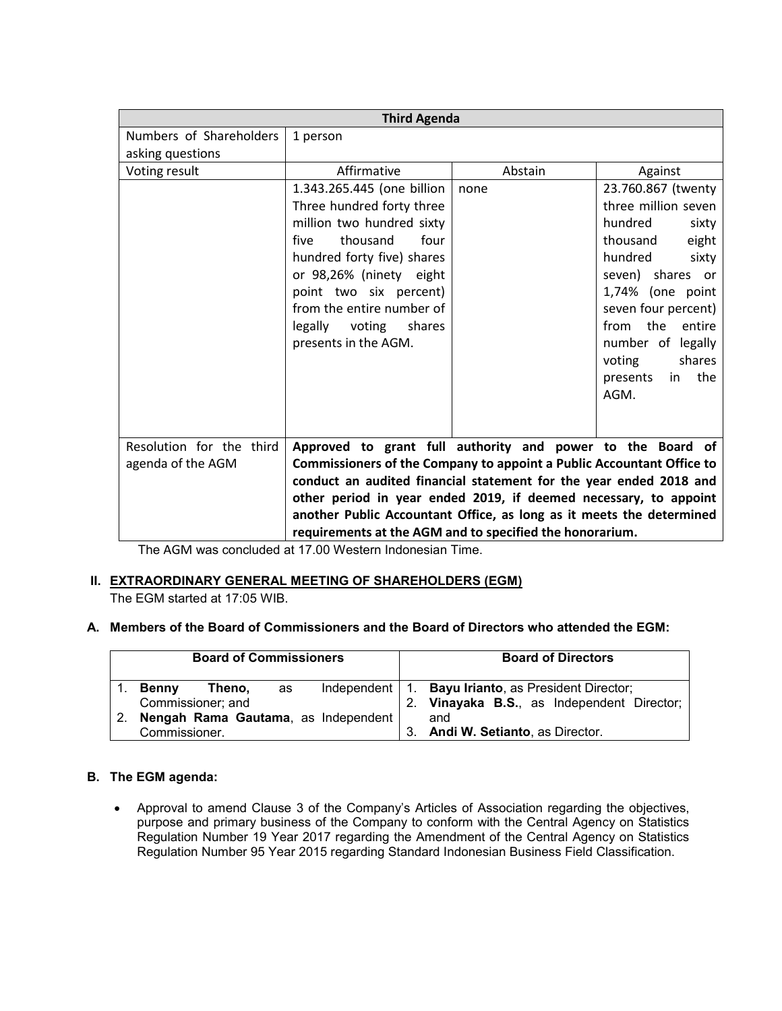| <b>Third Agenda</b>      |                                                                       |         |                       |
|--------------------------|-----------------------------------------------------------------------|---------|-----------------------|
| Numbers of Shareholders  | 1 person                                                              |         |                       |
| asking questions         |                                                                       |         |                       |
| Voting result            | Affirmative                                                           | Abstain | Against               |
|                          | 1.343.265.445 (one billion                                            | none    | 23.760.867 (twenty    |
|                          | Three hundred forty three                                             |         | three million seven   |
|                          | million two hundred sixty                                             |         | hundred<br>sixty      |
|                          | four<br>thousand<br>five                                              |         | thousand<br>eight     |
|                          | hundred forty five) shares                                            |         | hundred<br>sixty      |
|                          | or 98,26% (ninety eight                                               |         | seven) shares or      |
|                          | point two six percent)                                                |         | 1,74% (one point      |
|                          | from the entire number of                                             |         | seven four percent)   |
|                          | legally voting<br>shares                                              |         | from the<br>entire    |
|                          | presents in the AGM.                                                  |         | number of legally     |
|                          |                                                                       |         | voting<br>shares      |
|                          |                                                                       |         | the<br>in<br>presents |
|                          |                                                                       |         | AGM.                  |
|                          |                                                                       |         |                       |
|                          |                                                                       |         |                       |
| Resolution for the third | Approved to grant full authority and power to the Board of            |         |                       |
| agenda of the AGM        | Commissioners of the Company to appoint a Public Accountant Office to |         |                       |
|                          | conduct an audited financial statement for the year ended 2018 and    |         |                       |
|                          | other period in year ended 2019, if deemed necessary, to appoint      |         |                       |
|                          | another Public Accountant Office, as long as it meets the determined  |         |                       |
|                          | requirements at the AGM and to specified the honorarium.              |         |                       |

The AGM was concluded at 17.00 Western Indonesian Time.

### **II. EXTRAORDINARY GENERAL MEETING OF SHAREHOLDERS (EGM)**

The EGM started at 17:05 WIB.

### **A. Members of the Board of Commissioners and the Board of Directors who attended the EGM:**

| <b>Board of Commissioners</b> |                                             |                             | <b>Board of Directors</b> |                |                                                                                                  |
|-------------------------------|---------------------------------------------|-----------------------------|---------------------------|----------------|--------------------------------------------------------------------------------------------------|
|                               | <b>Benny</b>                                | Theno.<br>Commissioner; and | as                        | 2 <sub>1</sub> | Independent   1. Bayu Irianto, as President Director;<br>Vinayaka B.S., as Independent Director; |
|                               |                                             |                             |                           |                |                                                                                                  |
|                               | Nengah Rama Gautama, as Independent  <br>2. |                             |                           |                | and                                                                                              |
|                               | Commissioner.                               |                             |                           | 3.             | Andi W. Setianto, as Director.                                                                   |

## **B. The EGM agenda:**

 Approval to amend Clause 3 of the Company's Articles of Association regarding the objectives, purpose and primary business of the Company to conform with the Central Agency on Statistics Regulation Number 19 Year 2017 regarding the Amendment of the Central Agency on Statistics Regulation Number 95 Year 2015 regarding Standard Indonesian Business Field Classification.